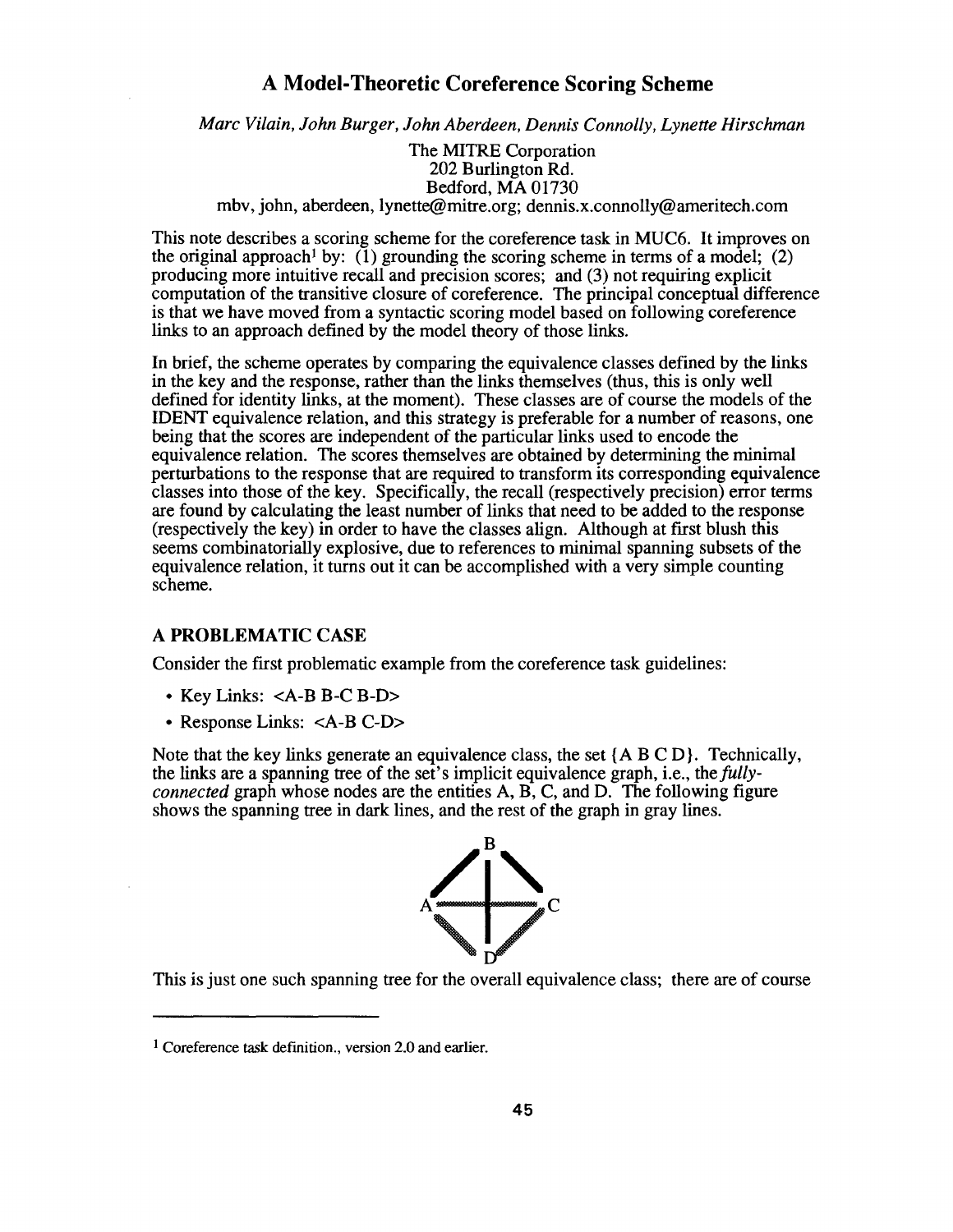# A Model-Theoretic Coreference Scoring Scheme

*Marc Vilain, John Burger, John Aberdeen, Dennis Connolly, Lynette Hirschman*

The MITRE Corporation 202 Burlington Rd. Bedford, MA 01730 mbv, john, aberdeen, lynette@mitre .org; dennis.x.connolly@ameritech.com

This note describes a scoring scheme for the coreference task in MUC6 . It improves on the original approach<sup>1</sup> by: (1) grounding the scoring scheme in terms of a model; (2) producing more intuitive recall and precision scores; and (3) not requiring explicit computation of the transitive closure of coreference. The principal conceptual difference is that we have moved from a syntactic scoring model based on following coreference links to an approach defined by the model theory of those links .

In brief, the scheme operates by comparing the equivalence classes defined by the links in the key and the response, rather than the links themselves (thus, this is only well defined for identity links, at the moment) . These classes are of course the models of the IDENT equivalence relation, and this strategy is preferable for a number of reasons, on e being that the scores are independent of the particular links used to encode the equivalence relation. The scores themselves are obtained by determining the minimal perturbations to the response that are required to transform its corresponding equivalence classes into those of the key. Specifically, the recall (respectively precision) error term s are found by calculating the least number of links that need to be added to the response (respectively the key) in order to have the classes align . Although at first blush this seems combinatorially explosive, due to references to minimal spanning subsets of the equivalence relation, it turns out it can be accomplished with a very simple counting scheme.

## **A PROBLEMATIC CASE**

Consider the first problematic example from the coreference task guidelines:

- Key Links: <A-B B-C B-D>
- Response Links: <A-B C-D>

Note that the key links generate an equivalence class, the set  ${A \, B \, C \, D}$ . Technically, the links are a spanning tree of the set's implicit equivalence graph, i .e., the*fullyconnected* graph whose nodes are the entities A, B, C, and D. The following figure shows the spanning tree in dark lines, and the rest of the graph in gray lines .



This is just one such spanning tree for the overall equivalence class; there are of course

<sup>&</sup>lt;sup>1</sup> Coreference task definition., version 2.0 and earlier.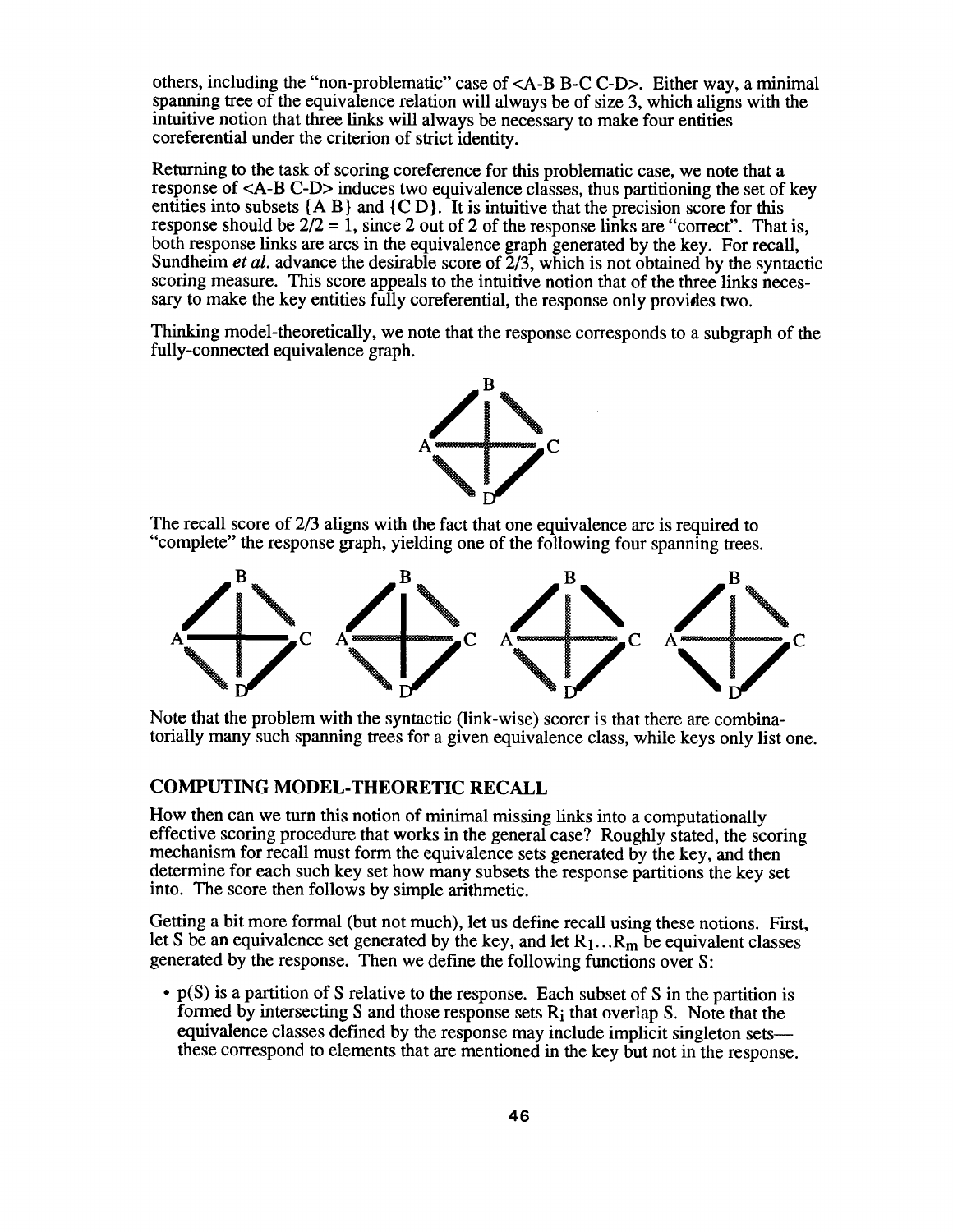others, including the "non-problematic" case of <A-B B-C C-D> . Either way, a minimal spanning tree of the equivalence relation will always be of size  $3$ , which aligns with the intuitive notion that three links will always be necessary to make four entities coreferential under the criterion of strict identity.

Returning to the task of scoring coreference for this problematic case, we note that a response of  $\langle A-B | C-D \rangle$  induces two equivalence classes, thus partitioning the set of key entities into subsets  ${A \mid B}$  and  ${C \mid D}$ . It is intuitive that the precision score for this response should be  $2/2 = 1$ , since 2 out of 2 of the response links are "correct". That is, both response links are arcs in the equivalence graph generated by the key. For recall, Sundheim et al. advance the desirable score of  $\tilde{2}/3$ , which is not obtained by the syntactic scoring measure. This score appeals to the intuitive notion that of the three links necessary to make the key entities fully coreferential, the response only provides two .

Thinking model-theoretically, we note that the response corresponds to a subgraph of the fully-connected equivalence graph.



The recall score of 2/3 aligns with the fact that one equivalence arc is required to "complete" the response graph, yielding one of the following four spanning trees.



Note that the problem with the syntactic (link-wise) scorer is that there are combinatorially many such spanning trees for a given equivalence class, while keys only list one.

## **COMPUTING MODEL-THEORETIC RECALL**

How then can we turn this notion of minimal missing links into a computationally effective scoring procedure that works in the general case? Roughly stated, the scoring mechanism for recall must form the equivalence sets generated by the key, and then determine for each such key set how many subsets the response partitions the key set into. The score then follows by simple arithmetic.

Getting a bit more formal (but not much), let us define recall using these notions. First, let S be an equivalence set generated by the key, and let  $R_1...R_m$  be equivalent classes generated by the response. Then we define the following functions over S:

 $\cdot$  p(S) is a partition of S relative to the response. Each subset of S in the partition is formed by intersecting S and those response sets  $R_i$  that overlap S. Note that the equivalence classes defined by the response may include implicit singleton sets these correspond to elements that are mentioned in the key but not in the response .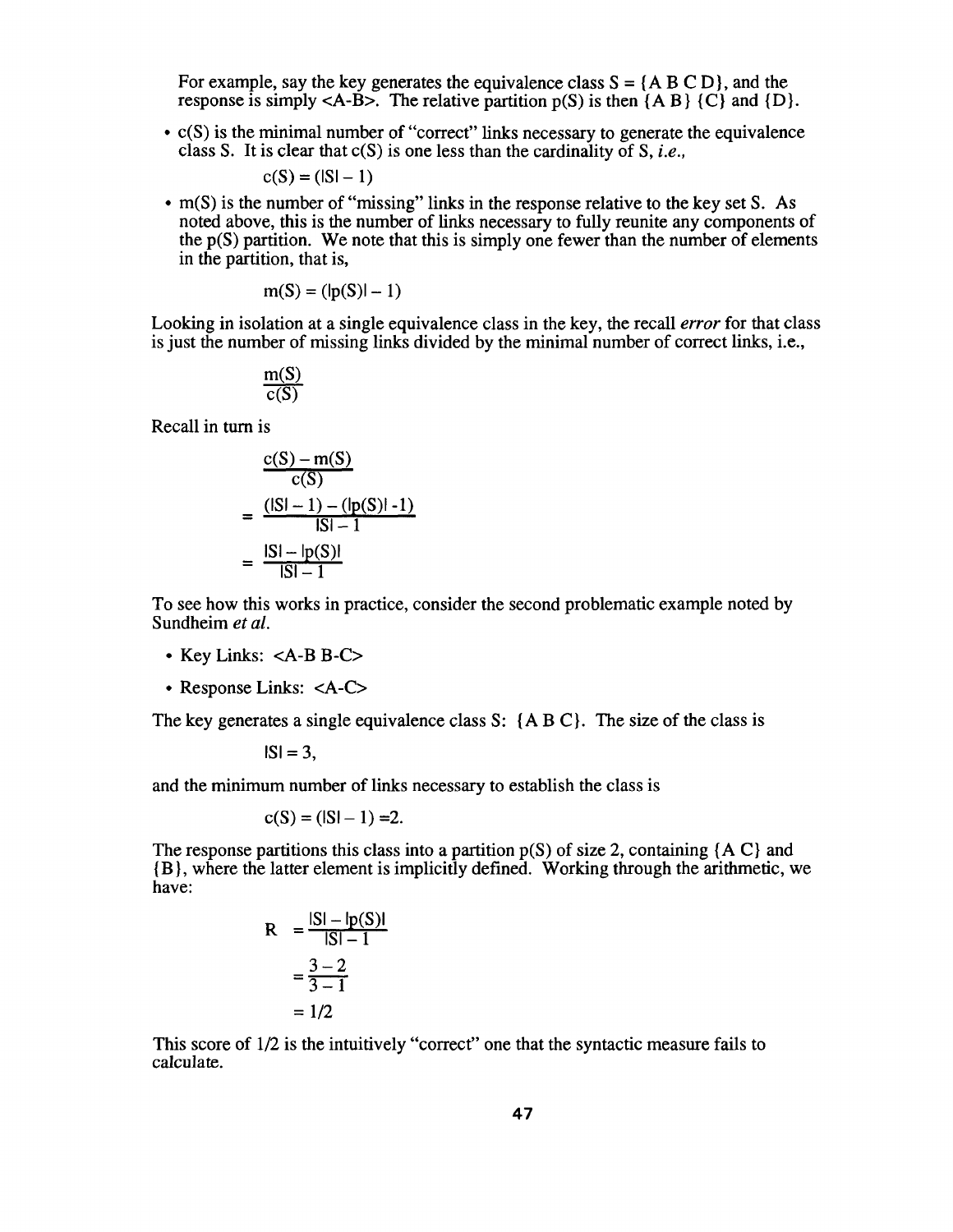For example, say the key generates the equivalence class  $S = \{A \mid B \subseteq D\}$ , and the response is simply  $\langle A-B \rangle$ . The relative partition  $p(S)$  is then  $\{A \mid B\}$   $\{C\}$  and  $\{D\}$ .

• c(S) is the minimal number of "correct" links necessary to generate the equivalence class S. It is clear that  $c(S)$  is one less than the cardinality of S, *i.e.*,

$$
c(S) = (|S| - 1)
$$

 $\bullet$  m(S) is the number of "missing" links in the response relative to the key set S. As noted above, this is the number of links necessary to fully reunite any components of the  $p(S)$  partition. We note that this is simply one fewer than the number of elements in the partition, that is,

$$
m(S) = (|p(S)| - 1)
$$

Looking in isolation at a single equivalence class in the key, the recall *error* for that class is just the number of missing links divided by the minimal number of correct links, i.e.,

$$
\frac{m(S)}{c(S)}
$$

Recall in turn is

$$
\frac{c(S) - m(S)}{c(S)}
$$
  
= 
$$
\frac{(|S| - 1) - (|p(S)| - 1)}{|S| - 1}
$$
  
= 
$$
\frac{|S| - |p(S)|}{|S| - 1}
$$

To see how this works in practice, consider the second problematic example noted by Sundheim et al.

- Key Links: <A-B B-C>
- Response Links: <A-C>

The key generates a single equivalence class S:  ${A \, B \, C}$ . The size of the class is

$$
|S|=3,
$$

and the minimum number of links necessary to establish the class is

$$
c(S) = (|S| - 1) = 2.
$$

The response partitions this class into a partition  $p(S)$  of size 2, containing {A C} and { B }, where the latter element is implicitly defined . Working through the arithmetic, we have:

$$
R = \frac{|S| - |p(S)|}{|S| - 1}
$$

$$
= \frac{3 - 2}{3 - 1}
$$

$$
= 1/2
$$

This score of  $1/2$  is the intuitively "correct" one that the syntactic measure fails to calculate.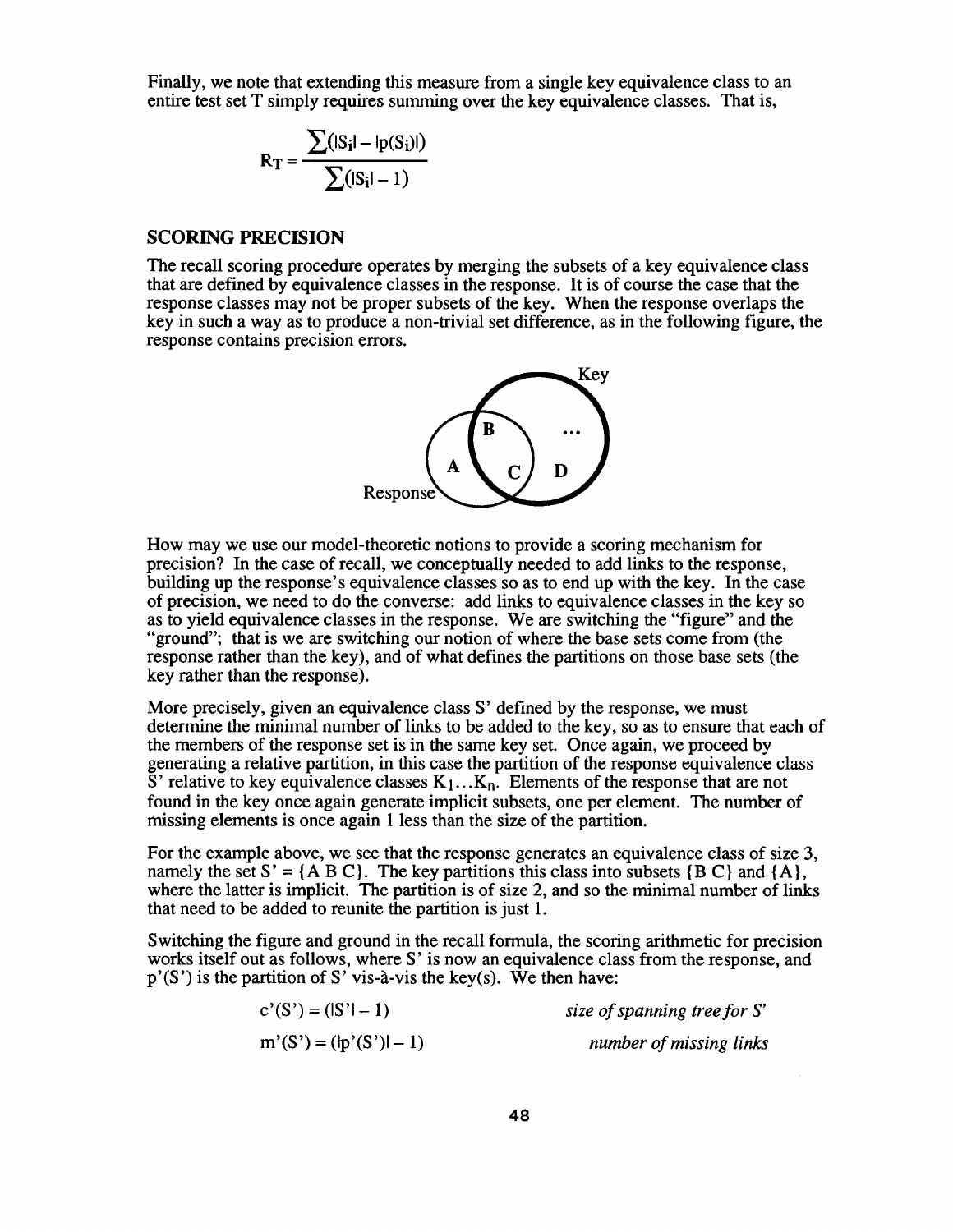Finally, we note that extending this measure from a single key equivalence class to an entire test set T simply requires summing over the key equivalence classes. That is,

$$
R_{T} = \frac{\sum (|S_{i}I - lp(S_{i})I)}{\sum (|S_{i}I - I)}
$$

#### **SCORING PRECISION**

The recall scoring procedure operates by merging the subsets of a key equivalence class that are defined by equivalence classes in the response . It is of course the case that the response classes may not be proper subsets of the key. When the response overlaps the key in such a way as to produce a non-trivial set difference, as in the following figure, the response contains precision errors.



How may we use our model-theoretic notions to provide a scoring mechanism for precision? In the case of recall, we conceptually needed to add links to the response , building up the response's equivalence classes so as to end up with the key . In the case of precision, we need to do the converse : add links to equivalence classes in the key so as to yield equivalence classes in the response. We are switching the "figure" and the "ground"; that is we are switching our notion of where the base sets come from (the response rather than the key), and of what defines the partitions on those base sets (the key rather than the response).

More precisely, given an equivalence class S' defined by the response, we must determine the minimal number of links to be added to the key, so as to ensure that each of the members of the response set is in the same key set. Once again, we proceed by generating a relative partition, in this case the partition of the response equivalence class S' relative to key equivalence classes  $K_1 \dots K_n$ . Elements of the response that are not found in the key once again generate implicit subsets, one per element. The number of missing elements is once again 1 less than the size of the partition.

For the example above, we see that the response generates an equivalence class of size 3, namely the set  $S' = \{A \mid B \mid C\}$ . The key partitions this class into subsets  $\{B \mid C\}$  and  $\{A\}$ , where the latter is implicit. The partition is of size 2, and so the minimal number of links that need to be added to reunite the partition is just 1.

Switching the figure and ground in the recall formula, the scoring arithmetic for precision works itself out as follows, where S' is now an equivalence class from the response, and  $p'(S')$  is the partition of S' vis-à-vis the key(s). We then have:

| $c'(S') = ( S'  - 1)$    | size of spanning tree for $S'$ |
|--------------------------|--------------------------------|
| $m'(S') = (lp'(S') - 1)$ | number of missing links        |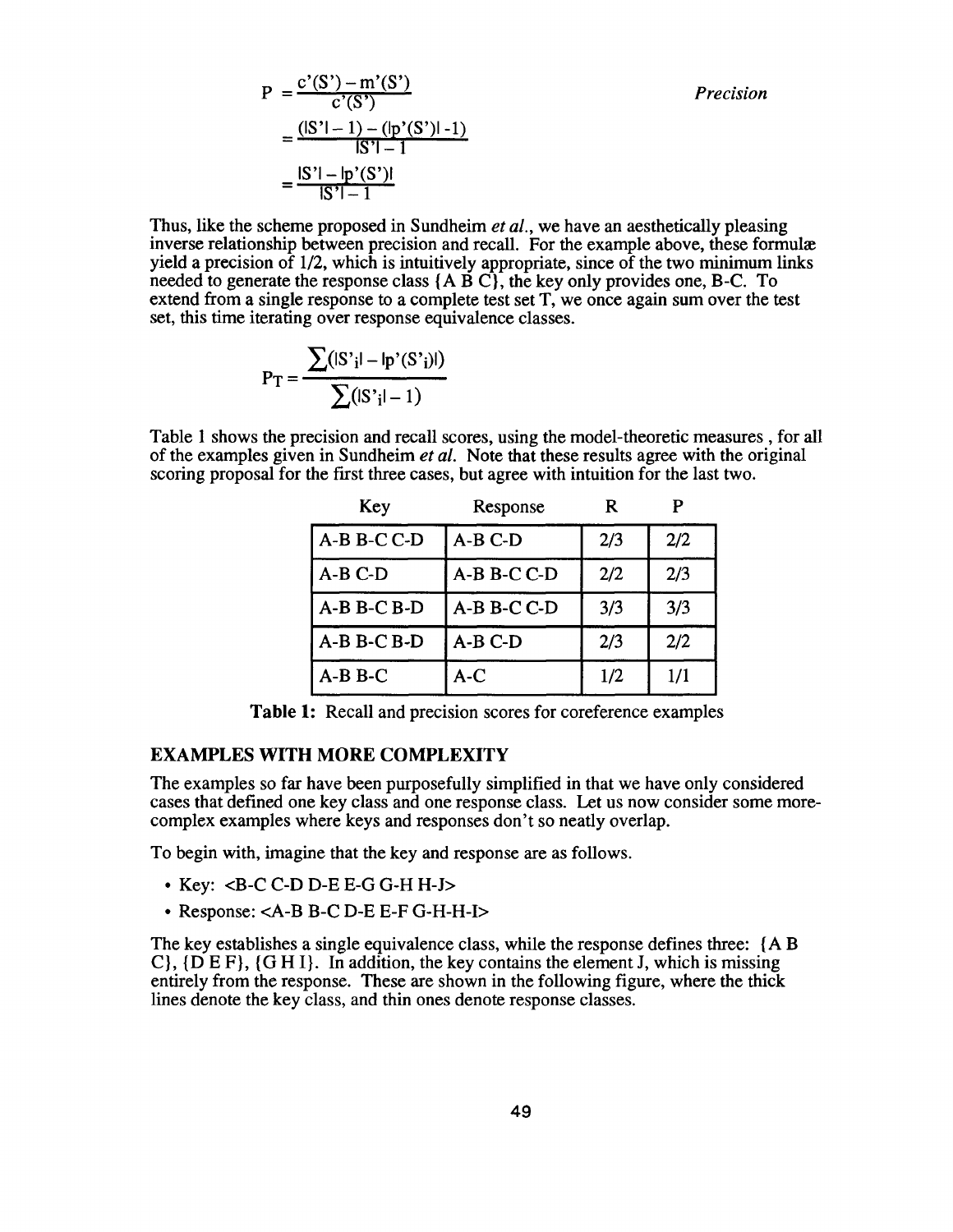*Precision*

$$
P = \frac{c'(S') - m'(S')}{c'(S')}
$$
  
= 
$$
\frac{(|S'| - 1) - (|p'(S')| - 1)}{|S'| - 1|}
$$
  
= 
$$
\frac{|S'| - |p'(S')|}{|S'| - 1}
$$

Thus, like the scheme proposed in Sundheim *et al.*, we have an aesthetically pleasing inverse relationship between precision and recall. For the example above, these formulæ yield a precision of  $1/2$ , which is intuitively appropriate, since of the two minimum links needed to generate the response class  ${A \overrightarrow{B} C}$ , the key only provides one, B-C. To extend from a single response to a complete test set T, we once again sum over the test set, this time iterating over response equivalence classes.

$$
P_{T} = \frac{\sum(|S'_{i}| - |p'(S'_{i})|)}{\sum(|S'_{i}| - 1)}
$$

Table 1 shows the precision and recall scores, using the model-theoretic measures, for all of the examples given in Sundheim *et al.* Note that these results agree with the original scoring proposal for the first three cases, but agree with intuition for the last two .

| Key           | Response    | R   |     |
|---------------|-------------|-----|-----|
| A-B B-C C-D   | $A-B C-D$   | 2/3 | 2/2 |
| $A-B C-D$     | A-B B-C C-D | 2/2 | 2/3 |
| $A-B$ B-C B-D | A-B B-C C-D | 3/3 | 3/3 |
| $A-B$ B-C B-D | $A-B$ C-D   | 2/3 | 2/2 |
| $A-B$ B-C     | A-C         | 1/2 | 1/1 |

Table 1: Recall and precision scores for coreference examples

## **EXAMPLES WITH MORE COMPLEXITY**

The examples so far have been purposefully simplified in that we have only considered cases that defined one key class and one response class. Let us now consider some morecomplex examples where keys and responses don't so neatly overlap.

To begin with, imagine that the key and response are as follows .

- Key: <B-C C-D D-E E-G G-H H-J>
- Response: <A-B B-C D-E E-F G-H-H-I>

The key establishes a single equivalence class, while the response defines three: {A B}  $C$ ,  $\{D E F\}$ ,  $\{G H I\}$ . In addition, the key contains the element J, which is missing entirely from the response. These are shown in the following figure, where the thick lines denote the key class, and thin ones denote response classes .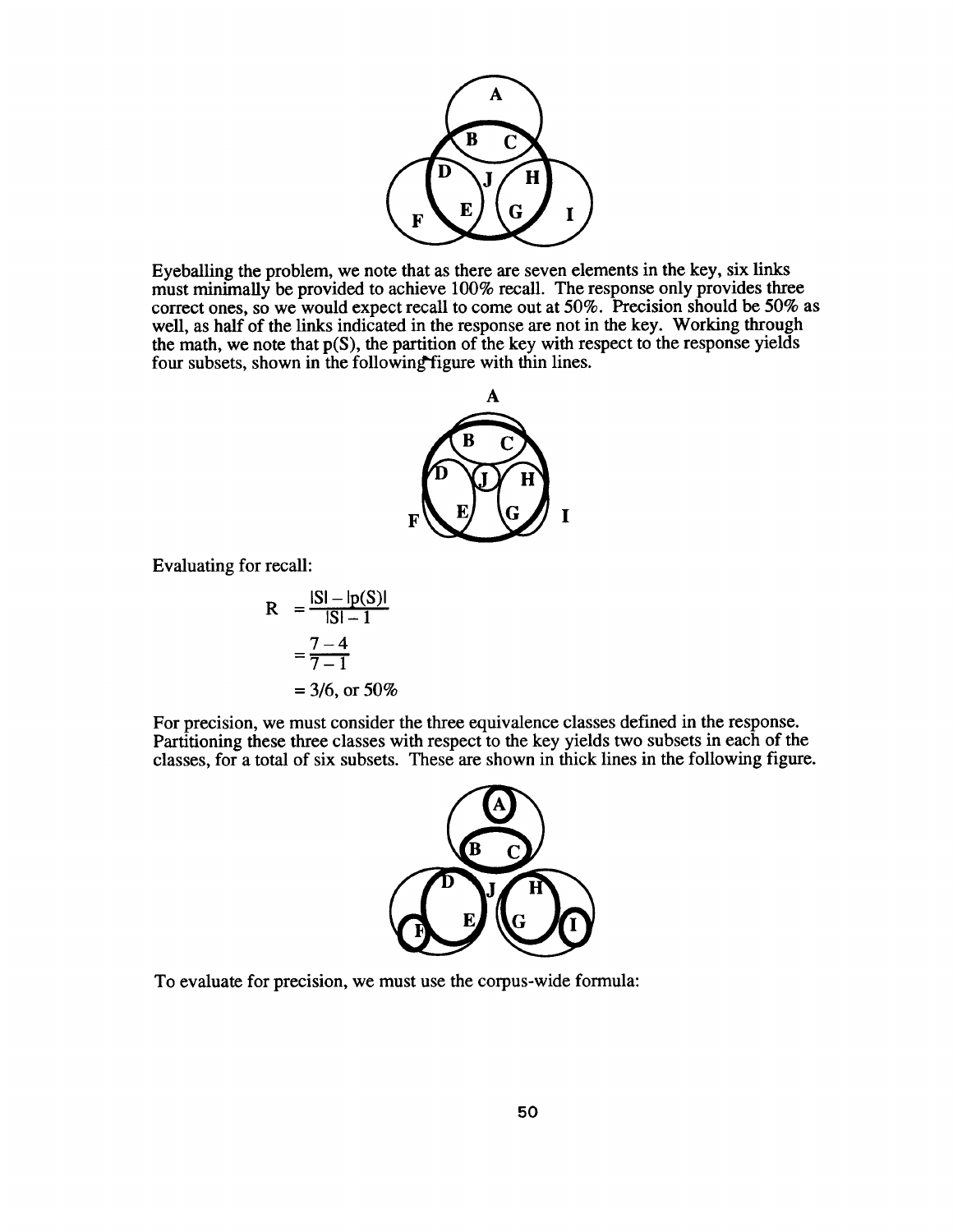

Eyeballing the problem, we note that as there are seven elements in the key, six links must minimally be provided to achieve 100% recall. The response only provides three correct ones, so we would expect recall to come out at 50%. Precision should be 50% as well, as half of the links indicated in the response are not in the key. Working through the math, we note that  $p(S)$ , the partition of the key with respect to the response yields four subsets, shown in the following figure with thin lines.



Evaluating for recall :

R = 
$$
\frac{|SI - lp(S)|}{|SI - 1}
$$
  
= 
$$
\frac{7 - 4}{7 - 1}
$$
  
= 3/6, or 50%

For precision, we must consider the three equivalence classes defined in the response. Partitioning these three classes with respect to the key yields two subsets in each of the classes, for a total of six subsets. These are shown in thick lines in the following figure .



To evaluate for precision, we must use the corpus-wide formula: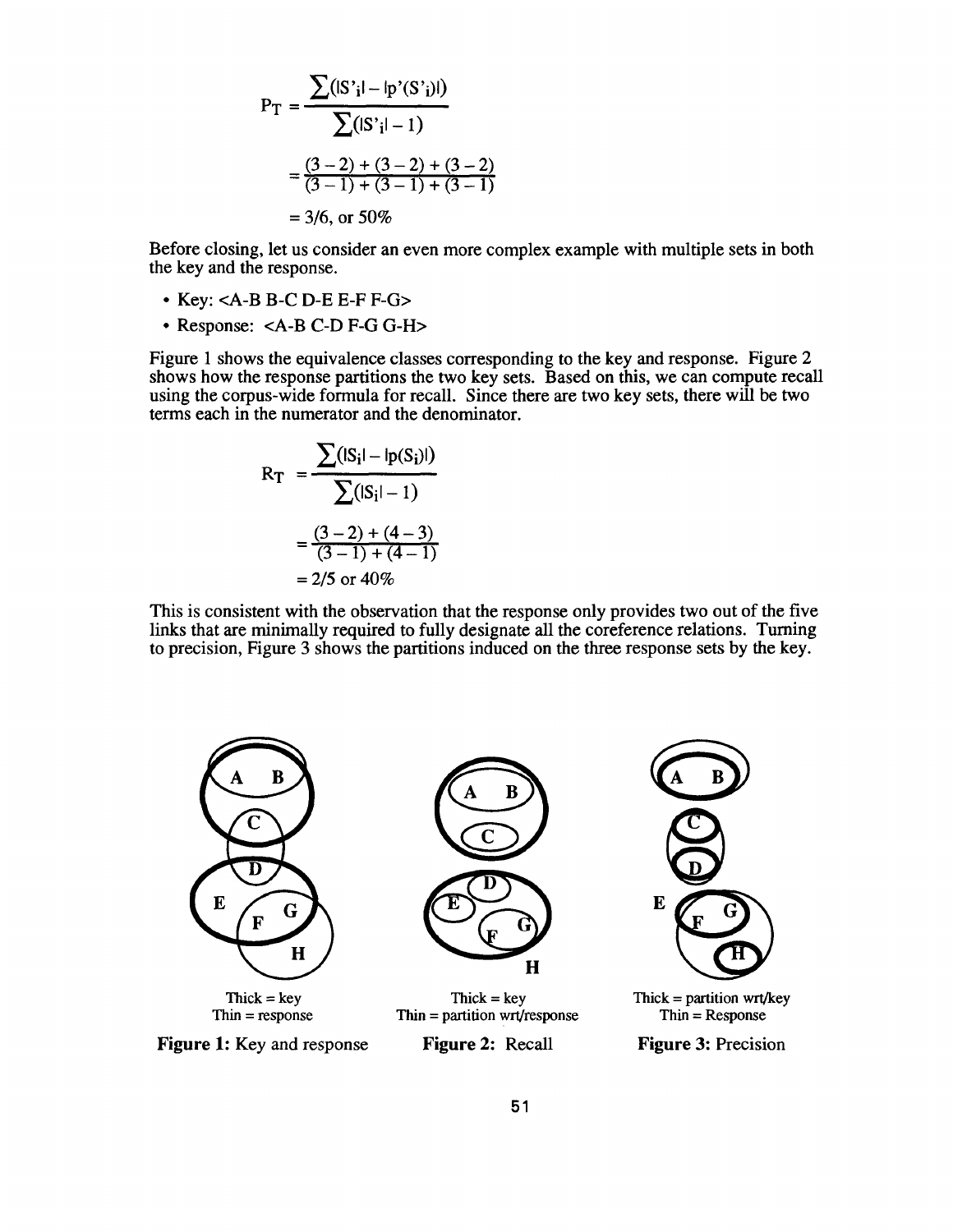$$
P_{T} = \frac{\sum (|S'_{i}| - |p'(S'_{i})|)}{\sum (|S'_{i}| - 1)}
$$
  
=  $\frac{(3-2) + (3-2) + (3-2)}{(3-1) + (3-1) + (3-1)}$   
= 3/6, or 50%

Before closing, let us consider an even more complex example with multiple sets in both the key and the response.

- $\bullet$  Key: <A-B B-C D-E E-F F-G>
- Response: <A-B C-D F-G G-H>

Figure 1 shows the equivalence classes corresponding to the key and response. Figure 2 shows how the response partitions the two key sets. Based on this, we can compute recall using the corpus-wide formula for recall. Since there are two key sets, there will be two terms each in the numerator and the denominator.

$$
R_{T} = \frac{\sum (|S_{i}| - |p(S_{i})|)}{\sum (|S_{i}| - 1)}
$$
  
=  $\frac{(3 - 2) + (4 - 3)}{(3 - 1) + (4 - 1)}$   
= 2/5 or 40%

This is consistent with the observation that the response only provides two out of the five links that are minimally required to fully designate all the coreference relations. Turning to precision, Figure 3 shows the partitions induced on the three response sets by the key .